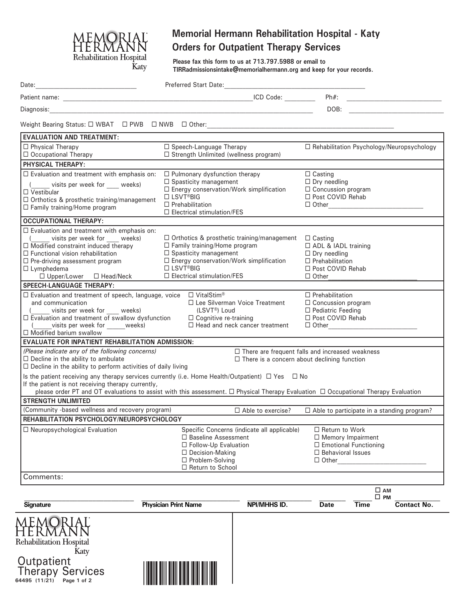

# **Memorial Hermann Rehabilitation Hospital - Katy Orders for Outpatient Therapy Services**

**Please fax this form to us at 713.797.5988 or email to TIRRadmissionsintake@memorialhermann.org and keep for your records.**

| <b>EVALUATION AND TREATMENT:</b><br>$\Box$ Physical Therapy<br>□ Occupational Therapy                                                                            |                                      |                                                                           | $Ph#$ :<br>DOB:                    |                                                   | <u> 1980 - Jan Barbarat, manala</u> |
|------------------------------------------------------------------------------------------------------------------------------------------------------------------|--------------------------------------|---------------------------------------------------------------------------|------------------------------------|---------------------------------------------------|-------------------------------------|
|                                                                                                                                                                  |                                      |                                                                           |                                    |                                                   |                                     |
|                                                                                                                                                                  |                                      |                                                                           |                                    |                                                   |                                     |
|                                                                                                                                                                  |                                      |                                                                           |                                    |                                                   |                                     |
|                                                                                                                                                                  |                                      |                                                                           |                                    |                                                   |                                     |
|                                                                                                                                                                  | $\Box$ Speech-Language Therapy       | $\Box$ Strength Unlimited (wellness program)                              |                                    | $\Box$ Rehabilitation Psychology/Neuropsychology  |                                     |
| <b>PHYSICAL THERAPY:</b>                                                                                                                                         |                                      |                                                                           |                                    |                                                   |                                     |
| $\Box$ Evaluation and treatment with emphasis on:                                                                                                                | $\Box$ Pulmonary dysfunction therapy |                                                                           | $\Box$ Casting                     |                                                   |                                     |
|                                                                                                                                                                  | $\Box$ Spasticity management         |                                                                           | $\Box$ Dry needling                |                                                   |                                     |
| visits per week for weeks)<br>$\Box$ Vestibular                                                                                                                  |                                      | $\Box$ Energy conservation/Work simplification                            | $\Box$ Concussion program          |                                                   |                                     |
| □ Orthotics & prosthetic training/management                                                                                                                     | □ LSVT <sup>®</sup> BIG              |                                                                           | □ Post COVID Rehab                 |                                                   |                                     |
| $\Box$ Family training/Home program                                                                                                                              | $\Box$ Prehabilitation               | $\square$ Electrical stimulation/FES                                      |                                    |                                                   |                                     |
| <b>OCCUPATIONAL THERAPY:</b>                                                                                                                                     |                                      |                                                                           |                                    |                                                   |                                     |
| $\Box$ Evaluation and treatment with emphasis on:                                                                                                                |                                      |                                                                           |                                    |                                                   |                                     |
| ( visits per week for weeks)                                                                                                                                     |                                      | $\Box$ Orthotics & prosthetic training/management $\Box$ Casting          |                                    |                                                   |                                     |
| $\Box$ Modified constraint induced therapy                                                                                                                       |                                      | $\Box$ Family training/Home program                                       |                                    | □ ADL & IADL training<br>$\Box$ Dry needling      |                                     |
| $\Box$ Functional vision rehabilitation                                                                                                                          |                                      | $\Box$ Spasticity management<br>□ Energy conservation/Work simplification |                                    |                                                   |                                     |
| □ Pre-driving assessment program<br>$\Box$ Lymphedema                                                                                                            |                                      | □ LSVT <sup>®</sup> BIG                                                   |                                    | $\Box$ Prehabilitation                            |                                     |
| $\Box$ Upper/Lower $\Box$ Head/Neck                                                                                                                              | $\Box$ Electrical stimulation/FES    |                                                                           | □ Post COVID Rehab<br>$\Box$ Other |                                                   |                                     |
| <b>SPEECH-LANGUAGE THERAPY:</b>                                                                                                                                  |                                      |                                                                           |                                    |                                                   |                                     |
| $\Box$ Evaluation and treatment of speech, language, voice $\Box$ VitalStim®                                                                                     |                                      |                                                                           | $\Box$ Prehabilitation             |                                                   |                                     |
| □ Lee Silverman Voice Treatment<br>and communication                                                                                                             |                                      |                                                                           | $\Box$ Concussion program          |                                                   |                                     |
| visits per week for ____ weeks)                                                                                                                                  | (LSVT®) Loud                         | $\Box$ Pediatric Feeding<br>□ Post COVID Rehab                            |                                    |                                                   |                                     |
| $\Box$ Evaluation and treatment of swallow dysfunction<br>visits per week for weeks)                                                                             |                                      | $\Box$ Cognitive re-training<br>$\Box$ Head and neck cancer treatment     |                                    |                                                   |                                     |
| $\Box$ Modified barium swallow                                                                                                                                   |                                      |                                                                           |                                    | □ Other <u>_______________________</u>            |                                     |
| <b>EVALUATE FOR INPATIENT REHABILITATION ADMISSION:</b>                                                                                                          |                                      |                                                                           |                                    |                                                   |                                     |
| (Please indicate any of the following concerns)<br>$\Box$ There are frequent falls and increased weakness                                                        |                                      |                                                                           |                                    |                                                   |                                     |
| $\Box$ Decline in the ability to ambulate                                                                                                                        |                                      | $\Box$ There is a concern about declining function                        |                                    |                                                   |                                     |
| $\Box$ Decline in the ability to perform activities of daily living                                                                                              |                                      |                                                                           |                                    |                                                   |                                     |
| Is the patient receiving any therapy services currently (i.e. Home Health/Outpatient) $\Box$ Yes $\Box$ No<br>If the patient is not receiving therapy currently, |                                      |                                                                           |                                    |                                                   |                                     |
| please order PT and OT evaluations to assist with this assessment. $\Box$ Physical Therapy Evaluation $\Box$ Occupational Therapy Evaluation                     |                                      |                                                                           |                                    |                                                   |                                     |
| <b>STRENGTH UNLIMITED</b>                                                                                                                                        |                                      |                                                                           |                                    |                                                   |                                     |
| (Community -based wellness and recovery program)                                                                                                                 |                                      | $\Box$ Able to exercise?                                                  |                                    | $\Box$ Able to participate in a standing program? |                                     |
| REHABILITATION PSYCHOLOGY/NEUROPSYCHOLOGY                                                                                                                        |                                      |                                                                           |                                    |                                                   |                                     |
| $\Box$ Neuropsychological Evaluation                                                                                                                             |                                      | Specific Concerns (indicate all applicable)                               | $\Box$ Return to Work              |                                                   |                                     |
|                                                                                                                                                                  | □ Baseline Assessment                |                                                                           |                                    | $\Box$ Memory Impairment                          |                                     |
|                                                                                                                                                                  | □ Follow-Up Evaluation               |                                                                           |                                    | $\Box$ Emotional Functioning                      |                                     |
|                                                                                                                                                                  |                                      | □ Decision-Making<br>$\Box$ Problem-Solving                               |                                    | $\Box$ Behavioral Issues<br>$\Box$ Other          |                                     |
|                                                                                                                                                                  | □ Return to School                   |                                                                           |                                    |                                                   |                                     |
| Comments:                                                                                                                                                        |                                      |                                                                           |                                    |                                                   |                                     |
|                                                                                                                                                                  |                                      |                                                                           |                                    | $\square$ AM                                      |                                     |
| Signature                                                                                                                                                        | <b>Physician Print Name</b>          | NPI/MHHS ID.                                                              | <b>Date</b>                        | $\square$ PM<br>Time                              | <b>Contact No.</b>                  |
|                                                                                                                                                                  |                                      |                                                                           |                                    |                                                   |                                     |
| Rehabilitation Hospital                                                                                                                                          |                                      |                                                                           |                                    |                                                   |                                     |

**64495 (11/21) Page 1 of 2** Outpatient Therapy Services